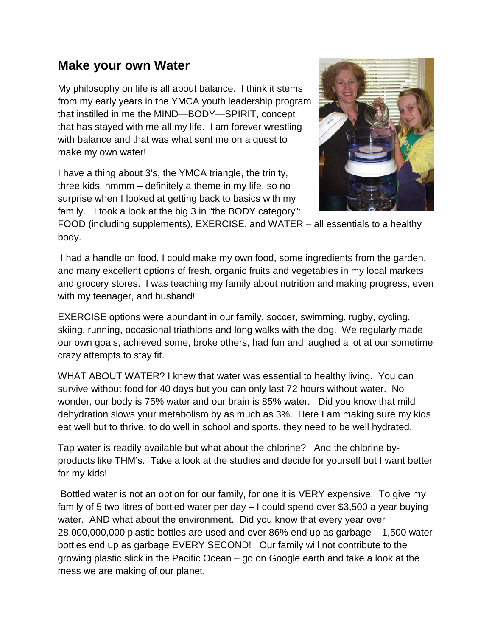## **Make your own Water**

My philosophy on life is all about balance. I think it stems from my early years in the YMCA youth leadership program that instilled in me the MIND—BODY—SPIRIT, concept that has stayed with me all my life. I am forever wrestling with balance and that was what sent me on a quest to make my own water!

I have a thing about 3's, the YMCA triangle, the trinity, three kids, hmmm – definitely a theme in my life, so no surprise when I looked at getting back to basics with my family. I took a look at the big 3 in "the BODY category":



FOOD (including supplements), EXERCISE, and WATER – all essentials to a healthy body.

I had a handle on food, I could make my own food, some ingredients from the garden, and many excellent options of fresh, organic fruits and vegetables in my local markets and grocery stores. I was teaching my family about nutrition and making progress, even with my teenager, and husband!

EXERCISE options were abundant in our family, soccer, swimming, rugby, cycling, skiing, running, occasional triathlons and long walks with the dog. We regularly made our own goals, achieved some, broke others, had fun and laughed a lot at our sometime crazy attempts to stay fit.

WHAT ABOUT WATER? I knew that water was essential to healthy living. You can survive without food for 40 days but you can only last 72 hours without water. No wonder, our body is 75% water and our brain is 85% water. Did you know that mild dehydration slows your metabolism by as much as 3%. Here I am making sure my kids eat well but to thrive, to do well in school and sports, they need to be well hydrated.

Tap water is readily available but what about the chlorine? And the chlorine byproducts like THM's. Take a look at the studies and decide for yourself but I want better for my kids!

Bottled water is not an option for our family, for one it is VERY expensive. To give my family of 5 two litres of bottled water per day – I could spend over \$3,500 a year buying water. AND what about the environment. Did you know that every year over 28,000,000,000 plastic bottles are used and over 86% end up as garbage – 1,500 water bottles end up as garbage EVERY SECOND! Our family will not contribute to the growing plastic slick in the Pacific Ocean – go on Google earth and take a look at the mess we are making of our planet.